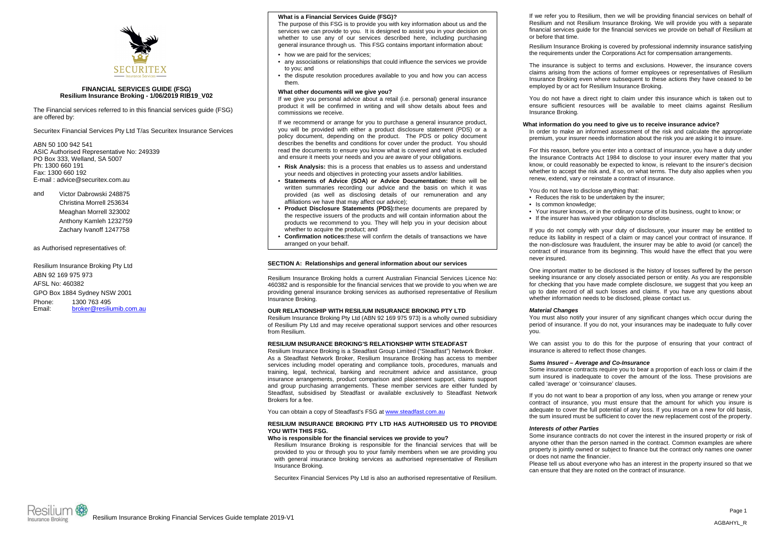

# **FINANCIAL SERVICES GUIDE (FSG) Resilium Insurance Broking - 1/06/2019 RIB19\_V02**

The Financial services referred to in this financial services guide (FSG) are offered by:

Securitex Financial Services Pty Ltd T/as Securitex Insurance Services

ABN 50 100 942 541 ASIC Authorised Representative No: 249339 PO Box 333, Welland, SA 5007 Ph: 1300 660 191 Fax: 1300 660 192 E-mail : advice@securitex.com.au

and Victor Dabrowski 248875 Christina Morrell 253634 Meaghan Morrell 323002 Anthony Kamleh 1232759 Zachary Ivanoff 1247758

## as Authorised representatives of:

Resilium Insurance Broking Pty Ltd ABN 92 169 975 973 AFSL No: 460382 GPO Box 1884 Sydney NSW 2001 Phone: 1300 763 495 Email: broker@resiliumib.com.au

# **What is a Financial Services Guide (FSG)?**

The purpose of this FSG is to provide you with key information about us and the services we can provide to you. It is designed to assist you in your decision on whether to use any of our services described here, including purchasing general insurance through us. This FSG contains important information about:

- how we are paid for the services;
- any associations or relationships that could influence the services we provide to you; and
- the dispute resolution procedures available to you and how you can access them.

## **What other documents will we give you?**

If we give you personal advice about a retail (i.e. personal) general insurance product it will be confirmed in writing and will show details about fees and commissions we receive.

If we recommend or arrange for you to purchase a general insurance product, you will be provided with either a product disclosure statement (PDS) or a policy document, depending on the product. The PDS or policy document describes the benefits and conditions for cover under the product. You should read the documents to ensure you know what is covered and what is excluded and ensure it meets your needs and you are aware of your obligations.

- **Risk Analysis:** this is a process that enables us to assess and understand your needs and objectives in protecting your assets and/or liabilities.
- **Statements of Advice (SOA) or Advice Documentation:** these will be written summaries recording our advice and the basis on which it was provided (as well as disclosing details of our remuneration and any affiliations we have that may affect our advice);
- •**Product Disclosure Statements (PDS):**these documents are prepared by the respective issuers of the products and will contain information about the products we recommend to you. They will help you in your decision about whether to acquire the product; and
- • **Confirmation notices:**these will confirm the details of transactions we have arranged on your behalf.

# **SECTION A: Relationships and general information about our services**

Resilium Insurance Broking holds a current Australian Financial Services Licence No: 460382 and is responsible for the financial services that we provide to you when we are providing general insurance broking services as authorised representative of Resilium Insurance Broking.

### **OUR RELATIONSHIP WITH RESILIUM INSURANCE BROKING PTY LTD**

Resilium Insurance Broking Pty Ltd (ABN 92 169 975 973) is a wholly owned subsidiary of Resilium Pty Ltd and may receive operational support services and other resources from Resilium.

## **RESILIUM INSURANCE BROKING'S RELATIONSHIP WITH STEADFAST**

Resilium Insurance Broking is a Steadfast Group Limited ("Steadfast") Network Broker. As a Steadfast Network Broker, Resilium Insurance Broking has access to member services including model operating and compliance tools, procedures, manuals and training, legal, technical, banking and recruitment advice and assistance, group insurance arrangements, product comparison and placement support, claims support and group purchasing arrangements. These member services are either funded by Steadfast, subsidised by Steadfast or available exclusively to Steadfast Network Brokers for a fee.

You can obtain a copy of Steadfast's FSG at www.steadfast.com.au

## **RESILIUM INSURANCE BROKING PTY LTD HAS AUTHORISED US TO PROVIDE YOU WITH THIS FSG.**

# **Who is responsible for the financial services we provide to you?**

Resilium Insurance Broking is responsible for the financial services that will be provided to you or through you to your family members when we are providing you with general insurance broking services as authorised representative of Resilium Insurance Broking.

Securitex Financial Services Pty Ltd is also an authorised representative of Resilium.

If we refer you to Resilium, then we will be providing financial services on behalf of Resilium and not Resilium Insurance Broking. We will provide you with a separate financial services guide for the financial services we provide on behalf of Resilium at or before that time.

Resilium Insurance Broking is covered by professional indemnity insurance satisfying the requirements under the Corporations Act for compensation arrangements.

The insurance is subject to terms and exclusions. However, the insurance covers claims arising from the actions of former employees or representatives of Resilium Insurance Broking even where subsequent to these actions they have ceased to be employed by or act for Resilium Insurance Broking.

You do not have a direct right to claim under this insurance which is taken out to ensure sufficient resources will be available to meet claims against Resilium Insurance Broking.

# **What information do you need to give us to receive insurance advice?**

In order to make an informed assessment of the risk and calculate the appropriate premium, your insurer needs information about the risk you are asking it to insure.

For this reason, before you enter into a contract of insurance, you have a duty under the Insurance Contracts Act 1984 to disclose to your insurer every matter that you know, or could reasonably be expected to know, is relevant to the insurer's decision whether to accept the risk and, if so, on what terms. The duty also applies when you renew, extend, vary or reinstate a contract of insurance.

You do not have to disclose anything that:

- Reduces the risk to be undertaken by the insurer;
- Is common knowledge;
- Your insurer knows, or in the ordinary course of its business, ought to know; or
- If the insurer has waived your obligation to disclose.

If you do not comply with your duty of disclosure, your insurer may be entitled to reduce its liability in respect of a claim or may cancel your contract of insurance. If the non-disclosure was fraudulent, the insurer may be able to avoid (or cancel) the contract of insurance from its beginning. This would have the effect that you were never insured.

One important matter to be disclosed is the history of losses suffered by the person seeking insurance or any closely associated person or entity. As you are responsible for checking that you have made complete disclosure, we suggest that you keep an up to date record of all such losses and claims. If you have any questions about whether information needs to be disclosed, please contact us.

### *Material Changes*

You must also notify your insurer of any significant changes which occur during the period of insurance. If you do not, your insurances may be inadequate to fully cover you.

We can assist you to do this for the purpose of ensuring that your contract of insurance is altered to reflect those changes.

### *Sums Insured – Average and Co-Insurance*

Some insurance contracts require you to bear a proportion of each loss or claim if the sum insured is inadequate to cover the amount of the loss. These provisions are called 'average' or 'coinsurance' clauses.

If you do not want to bear a proportion of any loss, when you arrange or renew your contract of insurance, you must ensure that the amount for which you insure is adequate to cover the full potential of any loss. If you insure on a new for old basis, the sum insured must be sufficient to cover the new replacement cost of the property.

# *Interests of other Parties*

Some insurance contracts do not cover the interest in the insured property or risk of anyone other than the person named in the contract. Common examples are where property is jointly owned or subject to finance but the contract only names one owner or does not name the financier.

Please tell us about everyone who has an interest in the property insured so that we can ensure that they are noted on the contract of insurance.